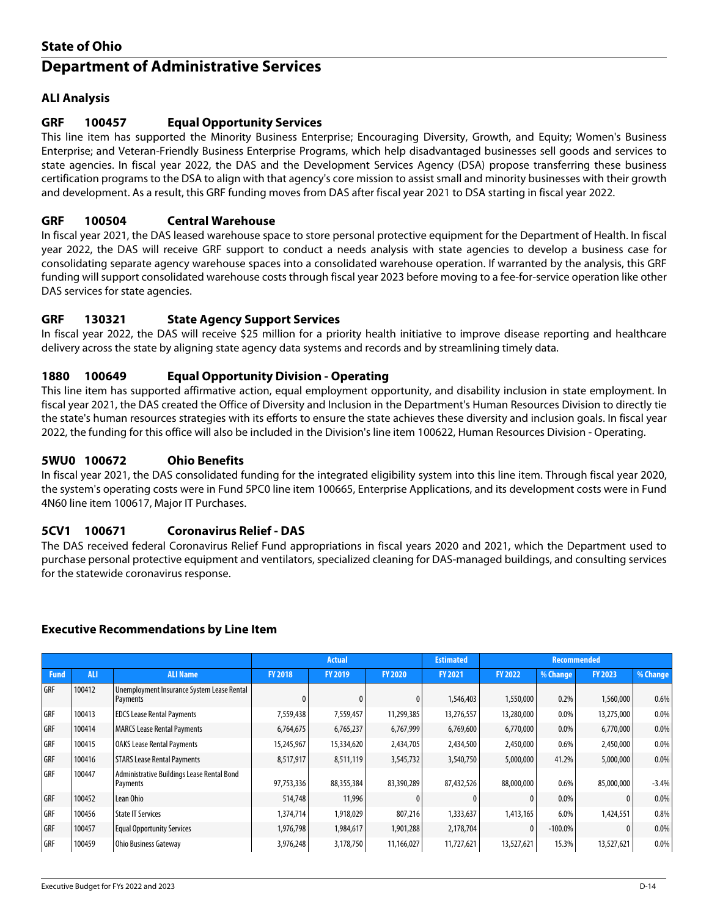# **State of Ohio Department of Administrative Services**

# **ALI Analysis**

## **GRF 100457 Equal Opportunity Services**

This line item has supported the Minority Business Enterprise; Encouraging Diversity, Growth, and Equity; Women's Business Enterprise; and Veteran-Friendly Business Enterprise Programs, which help disadvantaged businesses sell goods and services to state agencies. In fiscal year 2022, the DAS and the Development Services Agency (DSA) propose transferring these business certification programs to the DSA to align with that agency's core mission to assist small and minority businesses with their growth and development. As a result, this GRF funding moves from DAS after fiscal year 2021 to DSA starting in fiscal year 2022.

## **GRF 100504 Central Warehouse**

In fiscal year 2021, the DAS leased warehouse space to store personal protective equipment for the Department of Health. In fiscal year 2022, the DAS will receive GRF support to conduct a needs analysis with state agencies to develop a business case for consolidating separate agency warehouse spaces into a consolidated warehouse operation. If warranted by the analysis, this GRF funding will support consolidated warehouse costs through fiscal year 2023 before moving to a fee-for-service operation like other DAS services for state agencies.

## **GRF 130321 State Agency Support Services**

In fiscal year 2022, the DAS will receive \$25 million for a priority health initiative to improve disease reporting and healthcare delivery across the state by aligning state agency data systems and records and by streamlining timely data.

## **1880 100649 Equal Opportunity Division - Operating**

This line item has supported affirmative action, equal employment opportunity, and disability inclusion in state employment. In fiscal year 2021, the DAS created the Office of Diversity and Inclusion in the Department's Human Resources Division to directly tie the state's human resources strategies with its efforts to ensure the state achieves these diversity and inclusion goals. In fiscal year 2022, the funding for this office will also be included in the Division's line item 100622, Human Resources Division - Operating.

#### **5WU0 100672 Ohio Benefits**

In fiscal year 2021, the DAS consolidated funding for the integrated eligibility system into this line item. Through fiscal year 2020, the system's operating costs were in Fund 5PC0 line item 100665, Enterprise Applications, and its development costs were in Fund 4N60 line item 100617, Major IT Purchases.

#### **5CV1 100671 Coronavirus Relief - DAS**

The DAS received federal Coronavirus Relief Fund appropriations in fiscal years 2020 and 2021, which the Department used to purchase personal protective equipment and ventilators, specialized cleaning for DAS-managed buildings, and consulting services for the statewide coronavirus response.

#### **Executive Recommendations by Line Item**

|             |            |                                                        | <b>Actual</b>  |                |                | <b>Estimated</b> | <b>Recommended</b> |            |                |          |
|-------------|------------|--------------------------------------------------------|----------------|----------------|----------------|------------------|--------------------|------------|----------------|----------|
| <b>Fund</b> | <b>ALI</b> | <b>ALI Name</b>                                        | <b>FY 2018</b> | <b>FY 2019</b> | <b>FY 2020</b> | <b>FY 2021</b>   | <b>FY 2022</b>     | % Change   | <b>FY 2023</b> | % Change |
| GRF         | 100412     | Unemployment Insurance System Lease Rental<br>Payments |                |                | $\mathbf{0}$   | 1,546,403        | 1,550,000          | 0.2%       | 1,560,000      | 0.6%     |
| GRF         | 100413     | <b>EDCS Lease Rental Payments</b>                      | 7,559,438      | 7,559,457      | 11,299,385     | 13,276,557       | 13,280,000         | 0.0%       | 13,275,000     | 0.0%     |
| GRF         | 100414     | <b>MARCS Lease Rental Payments</b>                     | 6,764,675      | 6,765,237      | 6,767,999      | 6,769,600        | 6,770,000          | 0.0%       | 6,770,000      | 0.0%     |
| GRF         | 100415     | <b>OAKS Lease Rental Payments</b>                      | 15,245,967     | 15,334,620     | 2,434,705      | 2,434,500        | 2,450,000          | 0.6%       | 2,450,000      | 0.0%     |
| GRF         | 100416     | <b>STARS Lease Rental Payments</b>                     | 8,517,917      | 8,511,119      | 3,545,732      | 3,540,750        | 5,000,000          | 41.2%      | 5,000,000      | 0.0%     |
| GRF         | 100447     | Administrative Buildings Lease Rental Bond<br>Payments | 97,753,336     | 88,355,384     | 83,390,289     | 87,432,526       | 88,000,000         | 0.6%       | 85,000,000     | $-3.4%$  |
| GRF         | 100452     | Lean Ohio                                              | 514,748        | 11,996         |                |                  |                    | 0.0%       |                | 0.0%     |
| GRF         | 100456     | <b>State IT Services</b>                               | 1,374,714      | 1,918,029      | 807,216        | 1,333,637        | 1,413,165          | 6.0%       | 1,424,551      | 0.8%     |
| GRF         | 100457     | <b>Equal Opportunity Services</b>                      | 1,976,798      | 1,984,617      | 1,901,288      | 2,178,704        |                    | $-100.0\%$ | 0              | 0.0%     |
| GRF         | 100459     | Ohio Business Gateway                                  | 3,976,248      | 3,178,750      | 11,166,027     | 11,727,621       | 13,527,621         | 15.3%      | 13,527,621     | 0.0%     |